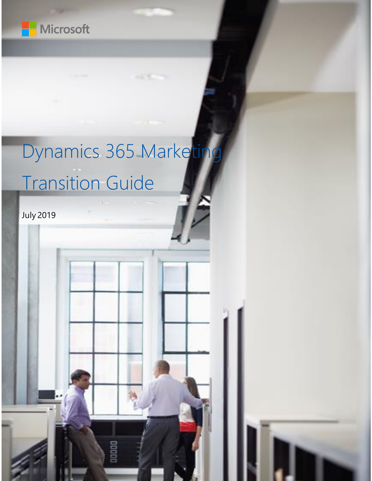

# Dynamics 365 Marketing Transition Guide

DODDO

July 2019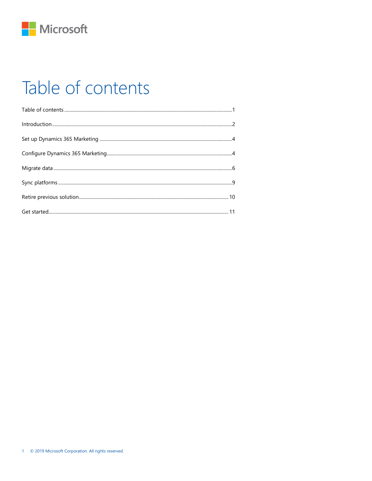

### <span id="page-1-0"></span>Table of contents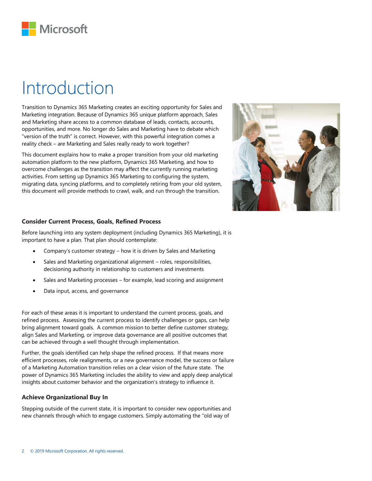

### <span id="page-2-0"></span>Introduction

Transition to Dynamics 365 Marketing creates an exciting opportunity for Sales and Marketing integration. Because of Dynamics 365 unique platform approach, Sales and Marketing share access to a common database of leads, contacts, accounts, opportunities, and more. No longer do Sales and Marketing have to debate which "version of the truth" is correct. However, with this powerful integration comes a reality check – are Marketing and Sales really ready to work together?

This document explains how to make a proper transition from your old marketing automation platform to the new platform, Dynamics 365 Marketing, and how to overcome challenges as the transition may affect the currently running marketing activities. From setting up Dynamics 365 Marketing to configuring the system, migrating data, syncing platforms, and to completely retiring from your old system, this document will provide methods to crawl, walk, and run through the transition.



#### **Consider Current Process, Goals, Refined Process**

Before launching into any system deployment (including Dynamics 365 Marketing), it is important to have a plan. That plan should contemplate:

- Company's customer strategy how it is driven by Sales and Marketing
- Sales and Marketing organizational alignment roles, responsibilities, decisioning authority in relationship to customers and investments
- Sales and Marketing processes for example, lead scoring and assignment
- Data input, access, and governance

For each of these areas it is important to understand the current process, goals, and refined process. Assessing the current process to identify challenges or gaps, can help bring alignment toward goals. A common mission to better define customer strategy, align Sales and Marketing, or improve data governance are all positive outcomes that can be achieved through a well thought through implementation.

Further, the goals identified can help shape the refined process. If that means more efficient processes, role realignments, or a new governance model, the success or failure of a Marketing Automation transition relies on a clear vision of the future state. The power of Dynamics 365 Marketing includes the ability to view and apply deep analytical insights about customer behavior and the organization's strategy to influence it.

#### **Achieve Organizational Buy In**

Stepping outside of the current state, it is important to consider new opportunities and new channels through which to engage customers. Simply automating the "old way of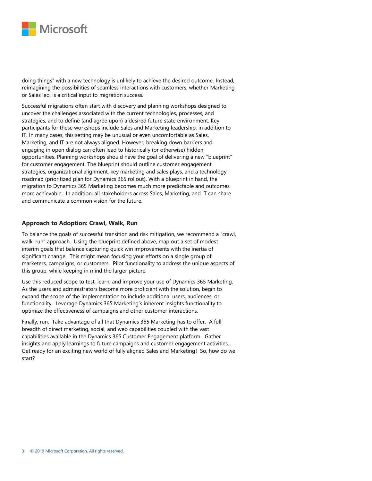

doing things" with a new technology is unlikely to achieve the desired outcome. Instead, reimagining the possibilities of seamless interactions with customers, whether Marketing or Sales led, is a critical input to migration success.

Successful migrations often start with discovery and planning workshops designed to uncover the challenges associated with the current technologies, processes, and strategies, and to define (and agree upon) a desired future state environment. Key participants for these workshops include Sales and Marketing leadership, in addition to IT. In many cases, this setting may be unusual or even uncomfortable as Sales, Marketing, and IT are not always aligned. However, breaking down barriers and engaging in open dialog can often lead to historically (or otherwise) hidden opportunities. Planning workshops should have the goal of delivering a new "blueprint" for customer engagement. The blueprint should outline customer engagement strategies, organizational alignment, key marketing and sales plays, and a technology roadmap (prioritized plan for Dynamics 365 rollout). With a blueprint in hand, the migration to Dynamics 365 Marketing becomes much more predictable and outcomes more achievable. In addition, all stakeholders across Sales, Marketing, and IT can share and communicate a common vision for the future.

#### **Approach to Adoption: Crawl, Walk, Run**

To balance the goals of successful transition and risk mitigation, we recommend a "crawl, walk, run" approach. Using the blueprint defined above, map out a set of modest interim goals that balance capturing quick win improvements with the inertia of significant change. This might mean focusing your efforts on a single group of marketers, campaigns, or customers. Pilot functionality to address the unique aspects of this group, while keeping in mind the larger picture.

Use this reduced scope to test, learn, and improve your use of Dynamics 365 Marketing. As the users and administrators become more proficient with the solution, begin to expand the scope of the implementation to include additional users, audiences, or functionality. Leverage Dynamics 365 Marketing's inherent insights functionality to optimize the effectiveness of campaigns and other customer interactions.

Finally, run. Take advantage of all that Dynamics 365 Marketing has to offer. A full breadth of direct marketing, social, and web capabilities coupled with the vast capabilities available in the Dynamics 365 Customer Engagement platform. Gather insights and apply learnings to future campaigns and customer engagement activities. Get ready for an exciting new world of fully aligned Sales and Marketing! So, how do we start?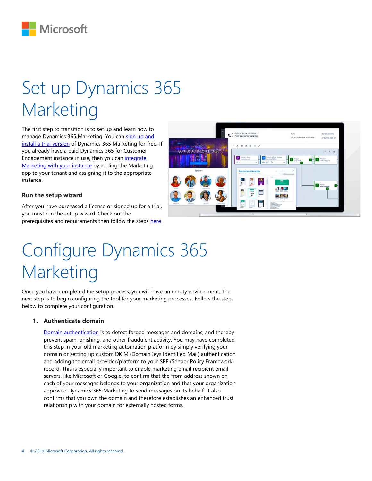

# <span id="page-4-0"></span>Set up Dynamics 365 Marketing

The first step to transition is to set up and learn how to manage Dynamics 365 Marketing. You can sign up and [install a trial version](https://docs.microsoft.com/en-us/dynamics365/customer-engagement/marketing/trial-signup) of Dynamics 365 Marketing for free. If you already have a paid Dynamics 365 for Customer Engagement instance in use, then you can integrate [Marketing with your instance](https://docs.microsoft.com/en-us/dynamics365/customer-engagement/marketing/purchase-marketing) by adding the Marketing app to your tenant and assigning it to the appropriate instance.

#### **Run the setup wizard**

After you have purchased a license or signed up for a trial, you must run the setup wizard. Check out the prerequisites and requirements then follow the steps [here.](https://docs.microsoft.com/en-us/dynamics365/customer-engagement/marketing/purchase-setup#step-1-launch-the-setup-wizard)



# <span id="page-4-1"></span>Configure Dynamics 365 Marketing

Once you have completed the setup process, you will have an empty environment. The next step is to begin configuring the tool for your marketing processes. Follow the steps below to complete your configuration.

#### **1. Authenticate domain**

[Domain authentication](https://docs.microsoft.com/en-us/dynamics365/customer-engagement/marketing/marketing-settings#authenticate-your-domains) is to detect forged messages and domains, and thereby prevent spam, phishing, and other fraudulent activity. You may have completed this step in your old marketing automation platform by simply verifying your domain or setting up custom DKIM (DomainKeys Identified Mail) authentication and adding the email provider/platform to your SPF (Sender Policy Framework) record. This is especially important to enable marketing email recipient email servers, like Microsoft or Google, to confirm that the from address shown on each of your messages belongs to your organization and that your organization approved Dynamics 365 Marketing to send messages on its behalf. It also confirms that you own the domain and therefore establishes an enhanced trust relationship with your domain for externally hosted forms.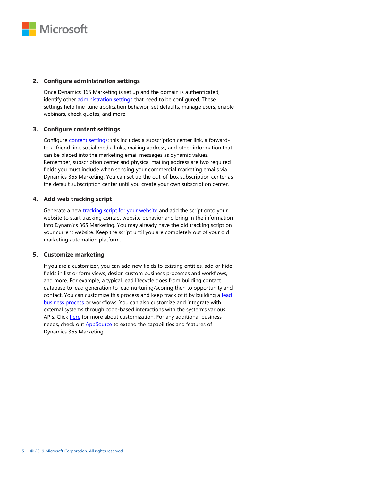

#### **2. Configure administration settings**

Once Dynamics 365 Marketing is set up and the domain is authenticated, identify other [administration settings](https://docs.microsoft.com/en-us/dynamics365/customer-engagement/marketing/open-advanced-settings) that need to be configured. These settings help fine-tune application behavior, set defaults, manage users, enable webinars, check quotas, and more.

#### **3. Configure content settings**

Configure [content settings;](https://docs.microsoft.com/en-us/dynamics365/customer-engagement/marketing/dynamic-email-content#use-content-settings-to-set-up-repositories-of-standard-and-required-values-for-email-messages) this includes a subscription center link, a forwardto-a-friend link, social media links, mailing address, and other information that can be placed into the marketing email messages as dynamic values. Remember, subscription center and physical mailing address are two required fields you must include when sending your commercial marketing emails via Dynamics 365 Marketing. You can set up the out-of-box subscription center as the default subscription center until you create your own subscription center.

#### **4. Add web tracking script**

Generate a new *tracking script for your website* and add the script onto your website to start tracking contact website behavior and bring in the information into Dynamics 365 Marketing. You may already have the old tracking script on your current website. Keep the script until you are completely out of your old marketing automation platform.

#### **5. Customize marketing**

If you are a customizer, you can add new fields to existing entities, add or hide fields in list or form views, design custom business processes and workflows, and more. For example, a typical lead lifecycle goes from building contact database to lead generation to lead nurturing/scoring then to opportunity and contact. You can customize this process and keep track of it by building a lead [business process](https://docs.microsoft.com/en-us/dynamics365/customer-engagement/marketing/lead-lifecycle#the-lead-business-process) or workflows. You can also customize and integrate with external systems through code-based interactions with the system's various APIs. Clic[k here](https://docs.microsoft.com/en-us/dynamics365/customer-engagement/marketing/customize) for more about customization. For any additional business needs, check out **AppSource** to extend the capabilities and features of Dynamics 365 Marketing.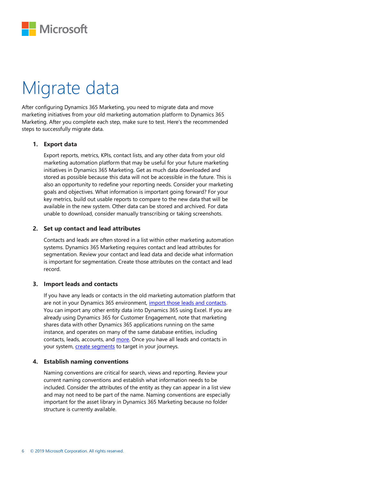

## <span id="page-6-0"></span>Migrate data

After configuring Dynamics 365 Marketing, you need to migrate data and move marketing initiatives from your old marketing automation platform to Dynamics 365 Marketing. After you complete each step, make sure to test. Here's the recommended steps to successfully migrate data.

#### **1. Export data**

Export reports, metrics, KPIs, contact lists, and any other data from your old marketing automation platform that may be useful for your future marketing initiatives in Dynamics 365 Marketing. Get as much data downloaded and stored as possible because this data will not be accessible in the future. This is also an opportunity to redefine your reporting needs. Consider your marketing goals and objectives. What information is important going forward? For your key metrics, build out usable reports to compare to the new data that will be available in the new system. Other data can be stored and archived. For data unable to download, consider manually transcribing or taking screenshots.

#### **2. Set up contact and lead attributes**

Contacts and leads are often stored in a list within other marketing automation systems. Dynamics 365 Marketing requires contact and lead attributes for segmentation. Review your contact and lead data and decide what information is important for segmentation. Create those attributes on the contact and lead record.

#### **3. Import leads and contacts**

If you have any leads or contacts in the old marketing automation platform that are not in your Dynamics 365 environment, [import those leads and contacts.](https://docs.microsoft.com/en-us/dynamics365/customer-engagement/marketing/import-data)  You can import any other entity data into Dynamics 365 using Excel. If you are already using Dynamics 365 for Customer Engagement, note that marketing shares data with other Dynamics 365 applications running on the same instance, and operates on many of the same database entities, including contacts, leads, accounts, and [more.](https://docs.microsoft.com/en-us/dynamics365/customer-engagement/marketing/overview#a-fully-responsive-app-built-on-the-new-unified-interface) Once you have all leads and contacts in your system, *create segments* to target in your journeys.

#### **4. Establish naming conventions**

Naming conventions are critical for search, views and reporting. Review your current naming conventions and establish what information needs to be included. Consider the attributes of the entity as they can appear in a list view and may not need to be part of the name. Naming conventions are especially important for the asset library in Dynamics 365 Marketing because no folder structure is currently available.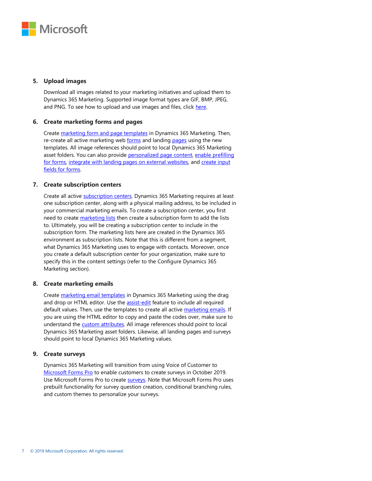

#### **5. Upload images**

Download all images related to your marketing initiatives and upload them to Dynamics 365 Marketing. Supported image format types are GIF, BMP, JPEG, and PNG. To see how to upload and use images and files, click [here.](https://docs.microsoft.com/en-us/dynamics365/customer-engagement/marketing/upload-images-files)

#### **6. Create marketing forms and pages**

Create [marketing form and page templates](https://docs.microsoft.com/en-us/dynamics365/customer-engagement/marketing/email-templates) in Dynamics 365 Marketing. Then, re-create all active marketing web [forms](https://docs.microsoft.com/en-us/dynamics365/customer-engagement/marketing/marketing-forms) and landing [pages](https://docs.microsoft.com/en-us/dynamics365/customer-engagement/marketing/create-deploy-marketing-pages) using the new templates. All image references should point to local Dynamics 365 Marketing asset folders. You can also provide [personalized page content,](https://docs.microsoft.com/en-us/dynamics365/customer-engagement/marketing/personalized-page-content) enable prefilling [for forms,](https://docs.microsoft.com/en-us/dynamics365/customer-engagement/marketing/form-prefill) [integrate with landing pages on external websites,](https://docs.microsoft.com/en-us/dynamics365/customer-engagement/marketing/embed-forms) and create input [fields for forms.](https://docs.microsoft.com/en-us/dynamics365/customer-engagement/marketing/marketing-fields)

#### **7. Create subscription centers**

Create all active **subscription centers**. Dynamics 365 Marketing requires at least one subscription center, along with a physical mailing address, to be included in your commercial marketing emails. To create a subscription center, you first need to create [marketing lists](https://docs.microsoft.com/en-us/dynamics365/customer-engagement/sales-enterprise/create-marketing-list-using-app-marketing-sales) then create a subscription form to add the lists to. Ultimately, you will be creating a subscription center to include in the subscription form. The marketing lists here are created in the Dynamics 365 environment as subscription lists. Note that this is different from a segment, what Dynamics 365 Marketing uses to engage with contacts. Moreover, once you create a default subscription center for your organization, make sure to specify this in the content settings (refer to the Configure Dynamics 365 Marketing section).

#### **8. Create marketing emails**

Create [marketing email templates](https://docs.microsoft.com/en-us/dynamics365/customer-engagement/marketing/email-templates) in Dynamics 365 Marketing using the drag and drop or HTML editor. Use th[e assist-edit](https://docs.microsoft.com/en-us/dynamics365/customer-engagement/marketing/dynamic-email-content) feature to include all required default values. Then, use the templates to create all activ[e marketing emails.](https://docs.microsoft.com/en-us/dynamics365/customer-engagement/marketing/prepare-marketing-emails) If you are using the HTML editor to copy and paste the codes over, make sure to understand the **custom attributes**. All image references should point to local Dynamics 365 Marketing asset folders. Likewise, all landing pages and surveys should point to local Dynamics 365 Marketing values.

#### **9. Create surveys**

Dynamics 365 Marketing will transition from using Voice of Customer to [Microsoft Forms Pro](https://docs.microsoft.com/en-us/dynamics365-release-plan/2019wave2/dynamics365-marketing/support-surveys-using-forms-pro) to enable customers to create surveys in October 2019. Use Microsoft Forms Pro to create **surveys**. Note that Microsoft Forms Pro uses prebuilt functionality for survey question creation, conditional branching rules, and custom themes to personalize your surveys.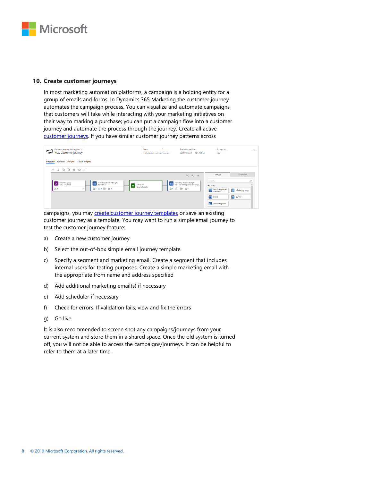

#### **10. Create customer journeys**

In most marketing automation platforms, a campaign is a holding entity for a group of emails and forms. In Dynamics 365 Marketing the customer journey automates the campaign process. You can visualize and automate campaigns that customers will take while interacting with your marketing initiatives on their way to marking a purchase; you can put a campaign flow into a customer journey and automate the process through the journey. Create all active [customer journeys.](https://docs.microsoft.com/en-us/dynamics365/customer-engagement/marketing/customer-journeys-create-automated-campaigns) If you have similar customer journey patterns across

| Customer journey: Information V<br>$\tilde{\phantom{a}}$<br>New Customer journey                                                                                                            | Name<br>$\bullet$<br>EntityNameCustomerJourne                                                                 | Start date and time<br>5/29/2019 1:05 PM 3 | Is recurring<br><b>No</b>       | $\checkmark$   |
|---------------------------------------------------------------------------------------------------------------------------------------------------------------------------------------------|---------------------------------------------------------------------------------------------------------------|--------------------------------------------|---------------------------------|----------------|
| Social insights<br>Insights<br><b>Designer</b><br>General                                                                                                                                   |                                                                                                               |                                            |                                 |                |
| $X$ to the term $Y$<br>$^{+}$                                                                                                                                                               |                                                                                                               |                                            |                                 |                |
|                                                                                                                                                                                             |                                                                                                               | $Q \quad Q \quad Q \quad D$                | <b>Toolbox</b>                  | Properties     |
| Marketing email message<br>Segment group<br>$\triangleright$<br>Ã<br>New Segment<br>Scheduler<br><b>New Email</b><br>$B \circ \Box \circ B \circ \Delta \circ$<br>$g_4^0$ 1<br>$\checkmark$ | Marketing email message<br>凹<br>New Marketing email message<br><b>New Scheduler</b><br><b>B</b> · H · B · A · | Search<br>$\triangle$ Content              | ρ                               |                |
|                                                                                                                                                                                             |                                                                                                               |                                            | Marketing email<br>⊡<br>message | Marketing page |
|                                                                                                                                                                                             |                                                                                                               |                                            | 自<br>Event                      | 目<br>Survey    |
|                                                                                                                                                                                             |                                                                                                               |                                            | $\mathbf{p}$<br>Marketing form  |                |

campaigns, you may [create customer journey templates](https://docs.microsoft.com/en-us/dynamics365/customer-engagement/marketing/journey-templates) or save an existing customer journey as a template. You may want to run a simple email journey to test the customer journey feature:

- a) Create a new customer journey
- b) Select the out-of-box simple email journey template
- c) Specify a segment and marketing email. Create a segment that includes internal users for testing purposes. Create a simple marketing email with the appropriate from name and address specified
- d) Add additional marketing email(s) if necessary
- e) Add scheduler if necessary
- f) Check for errors. If validation fails, view and fix the errors
- g) Go live

It is also recommended to screen shot any campaigns/journeys from your current system and store them in a shared space. Once the old system is turned off, you will not be able to access the campaigns/journeys. It can be helpful to refer to them at a later time.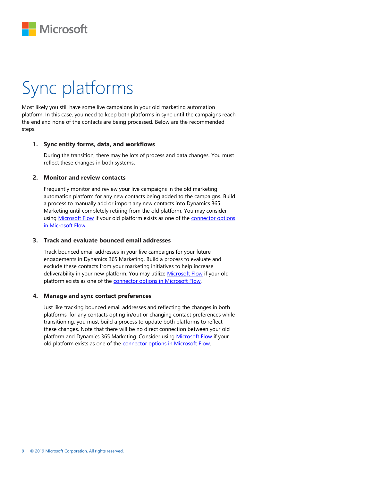

# <span id="page-9-0"></span>Sync platforms

Most likely you still have some live campaigns in your old marketing automation platform. In this case, you need to keep both platforms in sync until the campaigns reach the end and none of the contacts are being processed. Below are the recommended steps.

#### **1. Sync entity forms, data, and workflows**

During the transition, there may be lots of process and data changes. You must reflect these changes in both systems.

#### **2. Monitor and review contacts**

Frequently monitor and review your live campaigns in the old marketing automation platform for any new contacts being added to the campaigns. Build a process to manually add or import any new contacts into Dynamics 365 Marketing until completely retiring from the old platform. You may consider using [Microsoft Flow](https://flow.microsoft.com/en-us/) if your old platform exists as one of the [connector options](https://flow.microsoft.com/en-us/connectors/)  [in Microsoft Flow.](https://flow.microsoft.com/en-us/connectors/)

#### **3. Track and evaluate bounced email addresses**

Track bounced email addresses in your live campaigns for your future engagements in Dynamics 365 Marketing. Build a process to evaluate and exclude these contacts from your marketing initiatives to help increase deliverability in your new platform. You may utilize [Microsoft Flow](https://flow.microsoft.com/en-us/) if your old platform exists as one of the **connector options in Microsoft Flow**.

#### **4. Manage and sync contact preferences**

Just like tracking bounced email addresses and reflecting the changes in both platforms, for any contacts opting in/out or changing contact preferences while transitioning, you must build a process to update both platforms to reflect these changes. Note that there will be no direct connection between your old platform and Dynamics 365 Marketing. Consider using [Microsoft Flow](https://flow.microsoft.com/en-us/) if your old platform exists as one of the **connector options in Microsoft Flow**.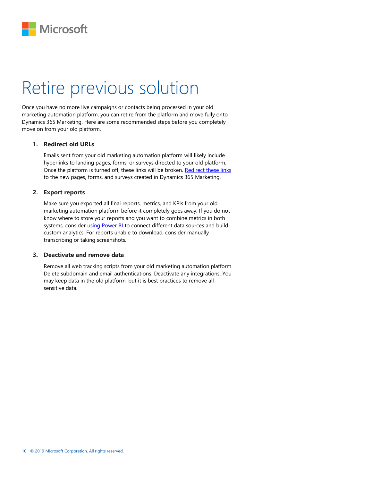

### <span id="page-10-0"></span>Retire previous solution

Once you have no more live campaigns or contacts being processed in your old marketing automation platform, you can retire from the platform and move fully onto Dynamics 365 Marketing. Here are some recommended steps before you completely move on from your old platform.

#### **1. Redirect old URLs**

Emails sent from your old marketing automation platform will likely include hyperlinks to landing pages, forms, or surveys directed to your old platform. Once the platform is turned off, these links will be broken. [Redirect these links](https://docs.microsoft.com/en-us/dynamics365/customer-engagement/marketing/track-online-behavior#set-up-trackable-links-with-redirect-urls-and-read-results) to the new pages, forms, and surveys created in Dynamics 365 Marketing.

#### **2. Export reports**

Make sure you exported all final reports, metrics, and KPIs from your old marketing automation platform before it completely goes away. If you do not know where to store your reports and you want to combine metrics in both systems, consider *using Power BI* to connect different data sources and build custom analytics. For reports unable to download, consider manually transcribing or taking screenshots.

#### **3. Deactivate and remove data**

Remove all web tracking scripts from your old marketing automation platform. Delete subdomain and email authentications. Deactivate any integrations. You may keep data in the old platform, but it is best practices to remove all sensitive data.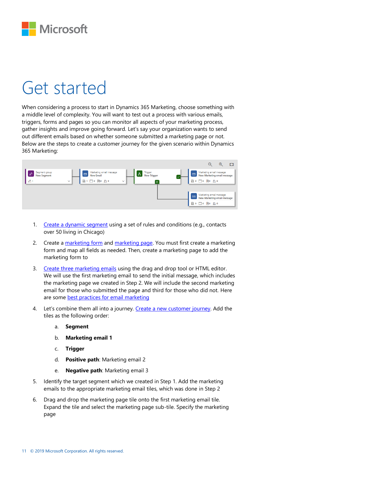

### <span id="page-11-0"></span>Get started

When considering a process to start in Dynamics 365 Marketing, choose something with a middle level of complexity. You will want to test out a process with various emails, triggers, forms and pages so you can monitor all aspects of your marketing process, gather insights and improve going forward. Let's say your organization wants to send out different emails based on whether someone submitted a marketing page or not. Below are the steps to create a customer journey for the given scenario within Dynamics 365 Marketing:



- 1. Create a [dynamic segment](https://docs.microsoft.com/en-us/dynamics365/customer-engagement/marketing/create-segment) using a set of rules and conditions (e.g., contacts over 50 living in Chicago)
- 2. Create a [marketing form](https://docs.microsoft.com/en-us/dynamics365/customer-engagement/marketing/marketing-forms) and [marketing page.](https://docs.microsoft.com/en-us/dynamics365/customer-engagement/marketing/create-deploy-marketing-pages) You must first create a marketing form and map all fields as needed. Then, create a marketing page to add the marketing form to
- 3. Create three [marketing emails](https://docs.microsoft.com/en-us/dynamics365/customer-engagement/marketing/create-marketing-email) using the drag and drop tool or HTML editor. We will use the first marketing email to send the initial message, which includes the marketing page we created in Step 2. We will include the second marketing email for those who submitted the page and third for those who did not. Here are some [best practices for email marketing](https://docs.microsoft.com/en-us/dynamics365/customer-engagement/marketing/get-ready-email-marketing)
- 4. Let's combine them all into a journey. [Create a new customer journey.](https://docs.microsoft.com/en-us/dynamics365/customer-engagement/marketing/create-simple-customer-journey) Add the tiles as the following order:
	- a. **Segment**
	- b. **Marketing email 1**
	- c. **Trigger**
	- d. **Positive path**: Marketing email 2
	- e. **Negative path**: Marketing email 3
- 5. Identify the target segment which we created in Step 1. Add the marketing emails to the appropriate marketing email tiles, which was done in Step 2
- 6. Drag and drop the marketing page tile onto the first marketing email tile. Expand the tile and select the marketing page sub-tile. Specify the marketing page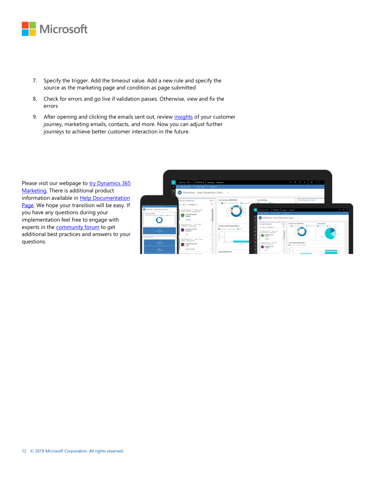

- 7. Specify the trigger. Add the timeout value. Add a new rule and specify the source as the marketing page and condition as page submitted
- 8. Check for errors and go live if validation passes. Otherwise, view and fix the errors
- 9. After opening and clicking the emails sent out, review [insights](https://docs.microsoft.com/en-us/dynamics365/customer-engagement/marketing/insights) of your customer journey, marketing emails, contacts, and more. Now you can adjust further journeys to achieve better customer interaction in the future.

Please visit our webpage to try Dynamics 365 [Marketing.](https://aka.ms/dynamics365formarketing) There is additional product information available in Help Documentation [Page.](https://docs.microsoft.com/en-us/dynamics365/customer-engagement/marketing/overview) We hope your transition will be easy. If you have any questions during your implementation feel free to engage with experts in the **community forum** to get additional best practices and answers to your questions.